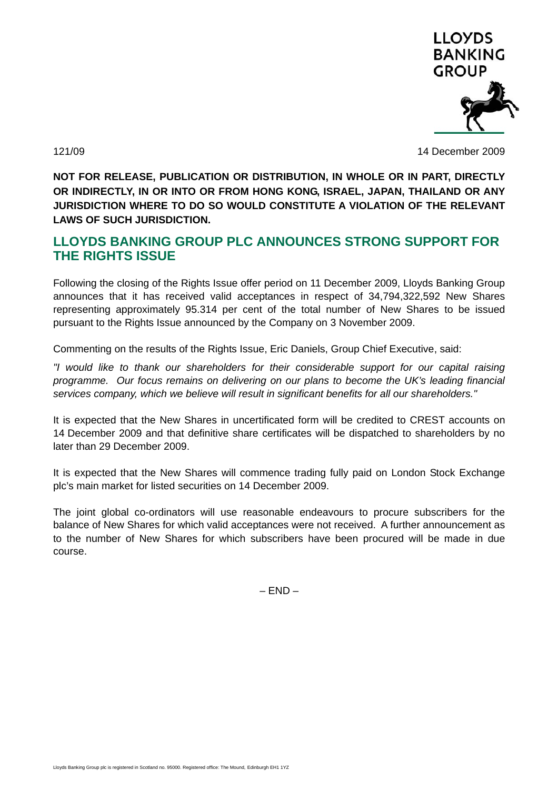

121/09 14 December 2009

**NOT FOR RELEASE, PUBLICATION OR DISTRIBUTION, IN WHOLE OR IN PART, DIRECTLY OR INDIRECTLY, IN OR INTO OR FROM HONG KONG, ISRAEL, JAPAN, THAILAND OR ANY JURISDICTION WHERE TO DO SO WOULD CONSTITUTE A VIOLATION OF THE RELEVANT LAWS OF SUCH JURISDICTION.** 

## **LLOYDS BANKING GROUP PLC ANNOUNCES STRONG SUPPORT FOR THE RIGHTS ISSUE**

Following the closing of the Rights Issue offer period on 11 December 2009, Lloyds Banking Group announces that it has received valid acceptances in respect of 34,794,322,592 New Shares representing approximately 95.314 per cent of the total number of New Shares to be issued pursuant to the Rights Issue announced by the Company on 3 November 2009.

Commenting on the results of the Rights Issue, Eric Daniels, Group Chief Executive, said:

*"I would like to thank our shareholders for their considerable support for our capital raising programme. Our focus remains on delivering on our plans to become the UK's leading financial services company, which we believe will result in significant benefits for all our shareholders."* 

It is expected that the New Shares in uncertificated form will be credited to CREST accounts on 14 December 2009 and that definitive share certificates will be dispatched to shareholders by no later than 29 December 2009.

It is expected that the New Shares will commence trading fully paid on London Stock Exchange plc's main market for listed securities on 14 December 2009.

The joint global co-ordinators will use reasonable endeavours to procure subscribers for the balance of New Shares for which valid acceptances were not received. A further announcement as to the number of New Shares for which subscribers have been procured will be made in due course.

 $- FND -$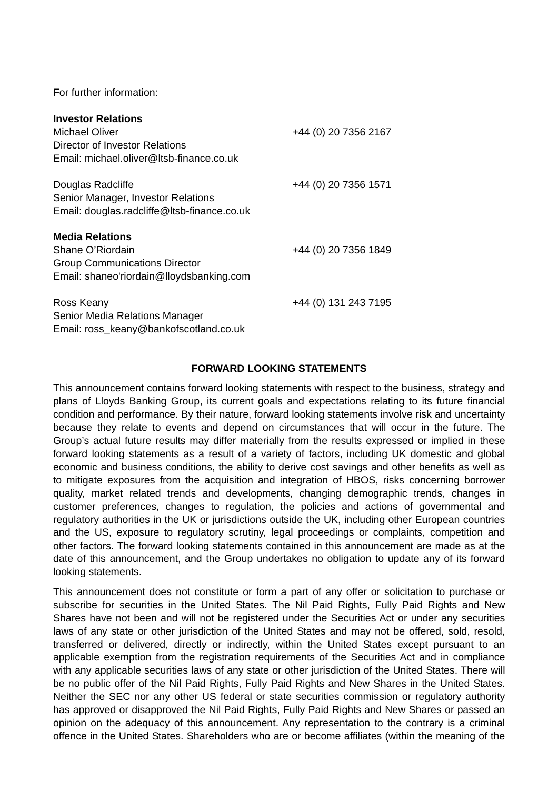For further information:

| <b>Investor Relations</b>                   |                      |
|---------------------------------------------|----------------------|
| Michael Oliver                              | +44 (0) 20 7356 2167 |
| Director of Investor Relations              |                      |
| Email: michael.oliver@Itsb-finance.co.uk    |                      |
| Douglas Radcliffe                           | +44 (0) 20 7356 1571 |
| Senior Manager, Investor Relations          |                      |
| Email: douglas.radcliffe@ltsb-finance.co.uk |                      |
| <b>Media Relations</b>                      |                      |
| Shane O'Riordain                            | +44 (0) 20 7356 1849 |
| <b>Group Communications Director</b>        |                      |
| Email: shaneo'riordain@lloydsbanking.com    |                      |
| Ross Keany                                  | +44 (0) 131 243 7195 |
| Senior Media Relations Manager              |                      |
| Email: ross_keany@bankofscotland.co.uk      |                      |

## **FORWARD LOOKING STATEMENTS**

This announcement contains forward looking statements with respect to the business, strategy and plans of Lloyds Banking Group, its current goals and expectations relating to its future financial condition and performance. By their nature, forward looking statements involve risk and uncertainty because they relate to events and depend on circumstances that will occur in the future. The Group's actual future results may differ materially from the results expressed or implied in these forward looking statements as a result of a variety of factors, including UK domestic and global economic and business conditions, the ability to derive cost savings and other benefits as well as to mitigate exposures from the acquisition and integration of HBOS, risks concerning borrower quality, market related trends and developments, changing demographic trends, changes in customer preferences, changes to regulation, the policies and actions of governmental and regulatory authorities in the UK or jurisdictions outside the UK, including other European countries and the US, exposure to regulatory scrutiny, legal proceedings or complaints, competition and other factors. The forward looking statements contained in this announcement are made as at the date of this announcement, and the Group undertakes no obligation to update any of its forward looking statements.

This announcement does not constitute or form a part of any offer or solicitation to purchase or subscribe for securities in the United States. The Nil Paid Rights, Fully Paid Rights and New Shares have not been and will not be registered under the Securities Act or under any securities laws of any state or other jurisdiction of the United States and may not be offered, sold, resold, transferred or delivered, directly or indirectly, within the United States except pursuant to an applicable exemption from the registration requirements of the Securities Act and in compliance with any applicable securities laws of any state or other jurisdiction of the United States. There will be no public offer of the Nil Paid Rights, Fully Paid Rights and New Shares in the United States. Neither the SEC nor any other US federal or state securities commission or regulatory authority has approved or disapproved the Nil Paid Rights, Fully Paid Rights and New Shares or passed an opinion on the adequacy of this announcement. Any representation to the contrary is a criminal offence in the United States. Shareholders who are or become affiliates (within the meaning of the